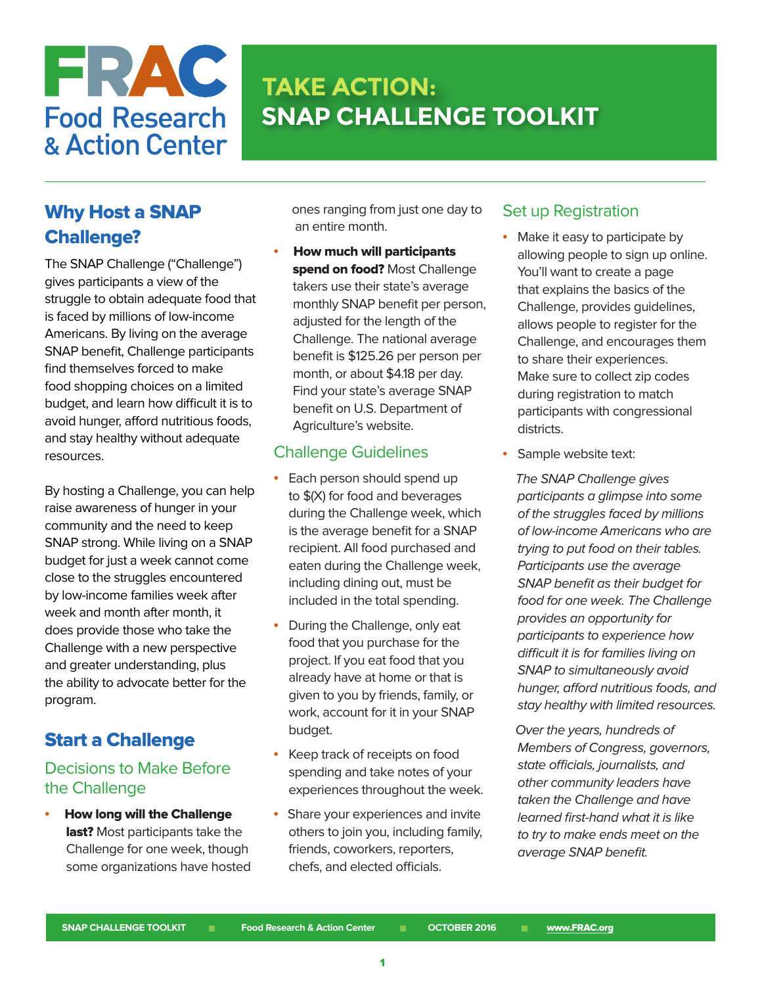

# **SNAP CHALLENGE TOOLKIT TAKE ACTION:**

# Why Host a SNAP Challenge?

The SNAP Challenge ("Challenge") gives participants a view of the struggle to obtain adequate food that is faced by millions of low-income Americans. By living on the average SNAP benefit, Challenge participants find themselves forced to make food shopping choices on a limited budget, and learn how difficult it is to avoid hunger, afford nutritious foods, and stay healthy without adequate resources.

By hosting a Challenge, you can help raise awareness of hunger in your community and the need to keep SNAP strong. While living on a SNAP budget for just a week cannot come close to the struggles encountered by low-income families week after week and month after month, it does provide those who take the Challenge with a new perspective and greater understanding, plus the ability to advocate better for the program.

## Start a Challenge

#### Decisions to Make Before the Challenge

• How long will the Challenge last? Most participants take the Challenge for one week, though some organizations have hosted  ones ranging from just one day to an entire month.

• How much will participants spend on food? Most Challenge takers use their state's average monthly SNAP benefit per person, adjusted for the length of the Challenge. The national average benefit is \$125.26 per person per month, or about \$4.18 per day. Find your state's average SNAP benefit on U.S. Department of Agriculture's website.

#### Challenge Guidelines

- Each person should spend up to \$(X) for food and beverages during the Challenge week, which is the average benefit for a SNAP recipient. All food purchased and eaten during the Challenge week, including dining out, must be included in the total spending.
- During the Challenge, only eat food that you purchase for the project. If you eat food that you already have at home or that is given to you by friends, family, or work, account for it in your SNAP budget.
- Keep track of receipts on food spending and take notes of your experiences throughout the week.
- Share your experiences and invite others to join you, including family, friends, coworkers, reporters, chefs, and elected officials.

#### Set up Registration

- Make it easy to participate by allowing people to sign up online. You'll want to create a page that explains the basics of the Challenge, provides guidelines, allows people to register for the Challenge, and encourages them to share their experiences. Make sure to collect zip codes during registration to match participants with congressional districts.
- Sample website text:

 The SNAP Challenge gives participants a glimpse into some of the struggles faced by millions of low-income Americans who are trying to put food on their tables. Participants use the average SNAP benefit as their budget for food for one week. The Challenge provides an opportunity for participants to experience how difficult it is for families living on SNAP to simultaneously avoid hunger, afford nutritious foods, and stay healthy with limited resources.

 Over the years, hundreds of Members of Congress, governors, state officials, journalists, and other community leaders have taken the Challenge and have learned first-hand what it is like to try to make ends meet on the average SNAP benefit.